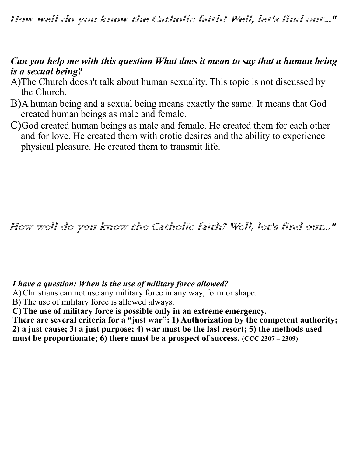How well do you know the Catholic faith? Well, let's find out..."

## *Can you help me with this question What does it mean to say that a human being is a sexual being?*

- A)The Church doesn't talk about human sexuality. This topic is not discussed by the Church.
- B)A human being and a sexual being means exactly the same. It means that God created human beings as male and female.
- C)God created human beings as male and female. He created them for each other and for love. He created them with erotic desires and the ability to experience physical pleasure. He created them to transmit life.

How well do you know the Catholic faith? Well, let's find out..."

## *I have a question: When is the use of military force allowed?*

A)Christians can not use any military force in any way, form or shape.

B) The use of military force is allowed always.

**C)The use of military force is possible only in an extreme emergency.** 

There are several criteria for a "just war": 1) Authorization by the competent authority; **2) a just cause; 3) a just purpose; 4) war must be the last resort; 5) the methods used**  must be proportionate;  $\hat{6}$ ) there must be a prospect of success.  $(\text{CCC 2307} - 2309)$